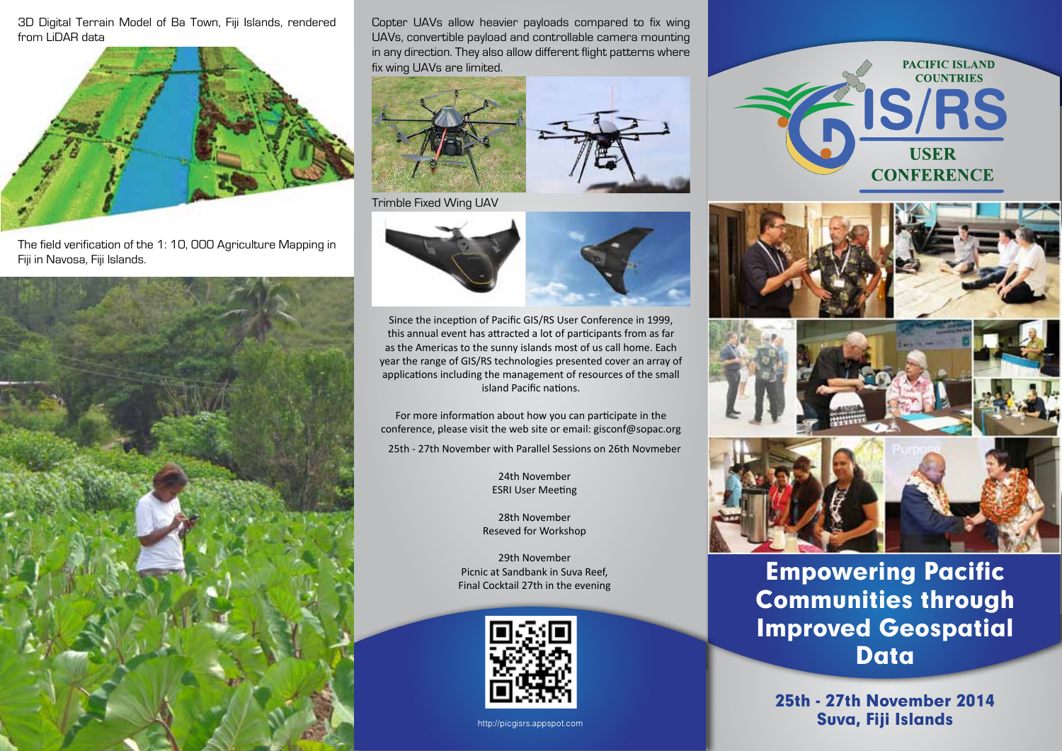3D Digital Terrain Model of Ba Town, Fiji Islands, rendered from LiDAR data



The field verification of the 1: 10, 000 Agriculture Mapping in Fiji in Navosa, Fiji Islands.



Copter UAVs allow heavier payloads compared to fix wing UAVs, convertible payload and controllable camera mounting in any direction. They also allow different flight patterns where fix wing UAVs are limited.







Since the inception of Pacific GIS/RS User Conference in 1999, this annual event has attracted a lot of participants from as far as the Americas to the sunny islands most of us call home. Each year the range of GIS/RS technologies presented cover an array of applications including the management of resources of the small island Pacific nations.

For more information about how you can participate in the conference, please visit the web site or email: gisconf@sopac.org

25th - 27th November with Parallel Sessions on 26th Novmeber

24th November ESRI User Meeting

28th November Reseved for Workshop

29th November Picnic at Sandbank in Suva Reef, Final Cocktail 27th in the evening



http://picgisrs.appspot.com









Empowering Pacific Communities through Improved Geospatial **Data** 

25th - 27th November 2014 Suva, Fiji Islands